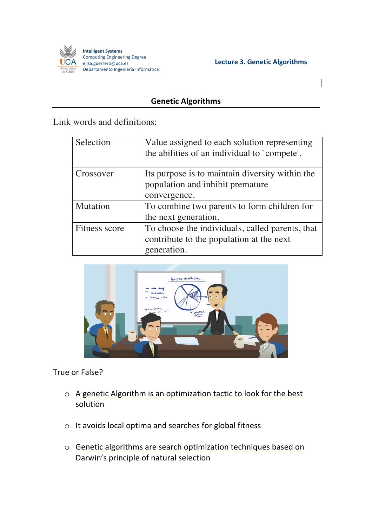

Lecture 3. Genetic Algorithms

## **Genetic Algorithms**

Link words and definitions:

| Selection     | Value assigned to each solution representing<br>the abilities of an individual to `compete'. |
|---------------|----------------------------------------------------------------------------------------------|
| Crossover     | Its purpose is to maintain diversity within the                                              |
|               | population and inhibit premature                                                             |
|               | convergence.                                                                                 |
| Mutation      | To combine two parents to form children for                                                  |
|               | the next generation.                                                                         |
| Fitness score | To choose the individuals, called parents, that                                              |
|               | contribute to the population at the next                                                     |
|               | generation.                                                                                  |



True or False?

- $\circ$  A genetic Algorithm is an optimization tactic to look for the best solution
- $\circ$  It avoids local optima and searches for global fitness
- $\circ$  Genetic algorithms are search optimization techniques based on Darwin's principle of natural selection